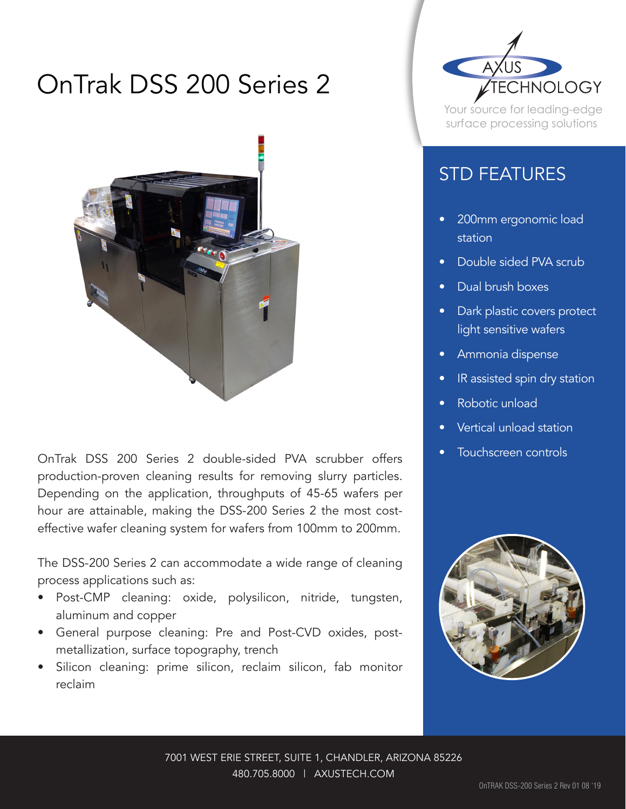## OnTrak DSS 200 Series 2



OnTrak DSS 200 Series 2 double-sided PVA scrubber offers • Touchscreen controls production-proven cleaning results for removing slurry particles. Depending on the application, throughputs of 45-65 wafers per hour are attainable, making the DSS-200 Series 2 the most costeffective wafer cleaning system for wafers from 100mm to 200mm.

The DSS-200 Series 2 can accommodate a wide range of cleaning process applications such as:

- • Post-CMP cleaning: oxide, polysilicon, nitride, tungsten, aluminum and copper
- • General purpose cleaning: Pre and Post-CVD oxides, postmetallization, surface topography, trench
- Silicon cleaning: prime silicon, reclaim silicon, fab monitor reclaim



Your source for leading-edge surface processing solutions

## STD FEATURES

- 200mm ergonomic load station
- Double sided PVA scrub
- Dual brush boxes
- Dark plastic covers protect light sensitive wafers
- • Ammonia dispense
- IR assisted spin dry station
- Robotic unload
- Vertical unload station
-